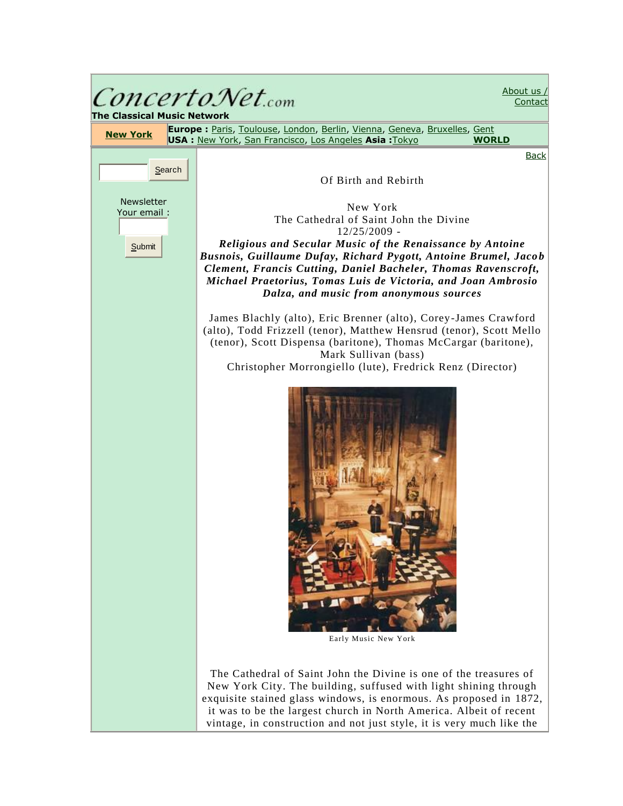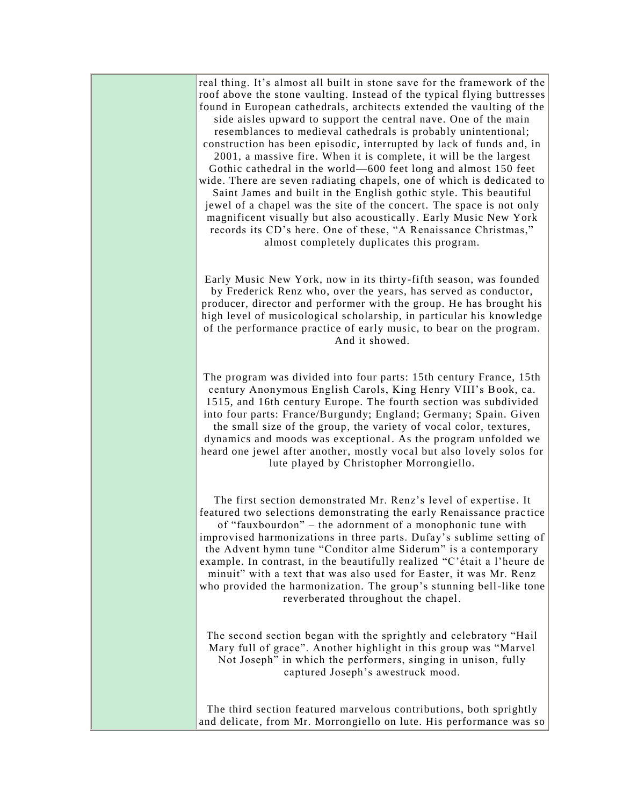| real thing. It's almost all built in stone save for the framework of the<br>roof above the stone vaulting. Instead of the typical flying buttresses<br>found in European cathedrals, architects extended the vaulting of the<br>side aisles upward to support the central nave. One of the main<br>resemblances to medieval cathedrals is probably unintentional;<br>construction has been episodic, interrupted by lack of funds and, in<br>2001, a massive fire. When it is complete, it will be the largest<br>Gothic cathedral in the world—600 feet long and almost 150 feet<br>wide. There are seven radiating chapels, one of which is dedicated to<br>Saint James and built in the English gothic style. This beautiful<br>jewel of a chapel was the site of the concert. The space is not only<br>magnificent visually but also acoustically. Early Music New York<br>records its CD's here. One of these, "A Renaissance Christmas,"<br>almost completely duplicates this program. |
|----------------------------------------------------------------------------------------------------------------------------------------------------------------------------------------------------------------------------------------------------------------------------------------------------------------------------------------------------------------------------------------------------------------------------------------------------------------------------------------------------------------------------------------------------------------------------------------------------------------------------------------------------------------------------------------------------------------------------------------------------------------------------------------------------------------------------------------------------------------------------------------------------------------------------------------------------------------------------------------------|
| Early Music New York, now in its thirty-fifth season, was founded<br>by Frederick Renz who, over the years, has served as conductor,<br>producer, director and performer with the group. He has brought his<br>high level of musicological scholarship, in particular his knowledge<br>of the performance practice of early music, to bear on the program.<br>And it showed.                                                                                                                                                                                                                                                                                                                                                                                                                                                                                                                                                                                                                 |
| The program was divided into four parts: 15th century France, 15th<br>century Anonymous English Carols, King Henry VIII's Book, ca.<br>1515, and 16th century Europe. The fourth section was subdivided<br>into four parts: France/Burgundy; England; Germany; Spain. Given<br>the small size of the group, the variety of vocal color, textures,<br>dynamics and moods was exceptional. As the program unfolded we<br>heard one jewel after another, mostly vocal but also lovely solos for<br>lute played by Christopher Morrongiello.                                                                                                                                                                                                                                                                                                                                                                                                                                                     |
| The first section demonstrated Mr. Renz's level of expertise. It<br>featured two selections demonstrating the early Renaissance practice<br>of "fauxbourdon" – the adornment of a monophonic tune with<br>improvised harmonizations in three parts. Dufay's sublime setting of<br>the Advent hymn tune "Conditor alme Siderum" is a contemporary<br>example. In contrast, in the beautifully realized "C'était a l'heure de<br>minuit" with a text that was also used for Easter, it was Mr. Renz<br>who provided the harmonization. The group's stunning bell-like tone<br>reverberated throughout the chapel.                                                                                                                                                                                                                                                                                                                                                                              |
| The second section began with the sprightly and celebratory "Hail<br>Mary full of grace". Another highlight in this group was "Marvel<br>Not Joseph" in which the performers, singing in unison, fully<br>captured Joseph's awestruck mood.                                                                                                                                                                                                                                                                                                                                                                                                                                                                                                                                                                                                                                                                                                                                                  |
| The third section featured marvelous contributions, both sprightly<br>and delicate, from Mr. Morrongiello on lute. His performance was so                                                                                                                                                                                                                                                                                                                                                                                                                                                                                                                                                                                                                                                                                                                                                                                                                                                    |